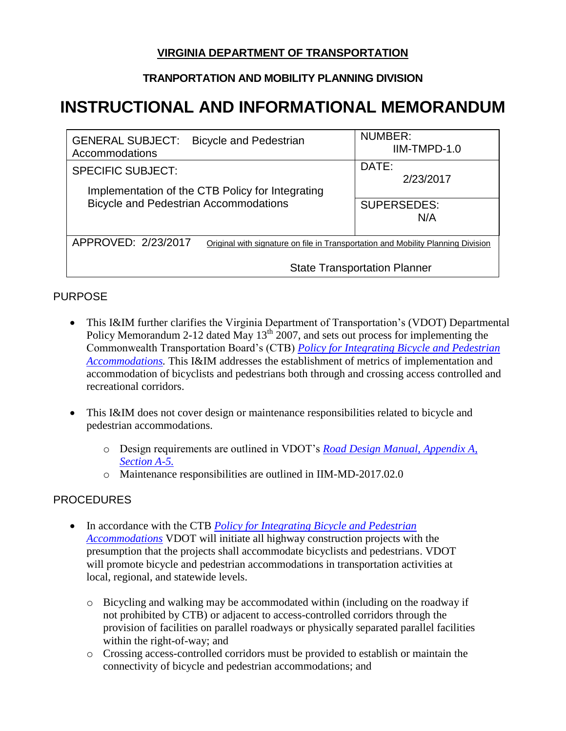## **VIRGINIA DEPARTMENT OF TRANSPORTATION**

### **TRANPORTATION AND MOBILITY PLANNING DIVISION**

# **INSTRUCTIONAL AND INFORMATIONAL MEMORANDUM**

| <b>GENERAL SUBJECT:</b><br><b>Bicycle and Pedestrian</b><br>Accommodations                              | <b>NUMBER:</b><br>IIM-TMPD-1.0 |
|---------------------------------------------------------------------------------------------------------|--------------------------------|
| <b>SPECIFIC SUBJECT:</b>                                                                                | DATE:<br>2/23/2017             |
| Implementation of the CTB Policy for Integrating<br><b>Bicycle and Pedestrian Accommodations</b>        | <b>SUPERSEDES:</b><br>N/A      |
| APPROVED: 2/23/2017<br>Original with signature on file in Transportation and Mobility Planning Division |                                |
| <b>State Transportation Planner</b>                                                                     |                                |

#### PURPOSE

- This I&IM further clarifies the Virginia Department of Transportation's (VDOT) Departmental Policy Memorandum 2-12 dated May  $13<sup>th</sup>$  2007, and sets out process for implementing the Commonwealth Transportation Board's (CTB) *[Policy for Integrating Bicycle and Pedestrian](http://www.virginiadot.org/bikepedpolicy)  [Accommodations.](http://www.virginiadot.org/bikepedpolicy)* This I&IM addresses the establishment of metrics of implementation and accommodation of bicyclists and pedestrians both through and crossing access controlled and recreational corridors.
- This I&IM does not cover design or maintenance responsibilities related to bicycle and pedestrian accommodations.
	- o Design requirements are outlined in VDOT's *[Road Design Manual, Appendix A,](http://www.virginiadot.org/business/locdes/rdmanual-index.asp)  [Section A-5.](http://www.virginiadot.org/business/locdes/rdmanual-index.asp)*
	- o Maintenance responsibilities are outlined in IIM-MD-2017.02.0

#### **PROCEDURES**

- In accordance with the CTB *Policy for Integrating Bicycle and Pedestrian [Accommodations](http://www.virginiadot.org/bikepedpolicy)* VDOT will initiate all highway construction projects with the presumption that the projects shall accommodate bicyclists and pedestrians. VDOT will promote bicycle and pedestrian accommodations in transportation activities at local, regional, and statewide levels.
	- o Bicycling and walking may be accommodated within (including on the roadway if not prohibited by CTB) or adjacent to access-controlled corridors through the provision of facilities on parallel roadways or physically separated parallel facilities within the right-of-way; and
	- o Crossing access-controlled corridors must be provided to establish or maintain the connectivity of bicycle and pedestrian accommodations; and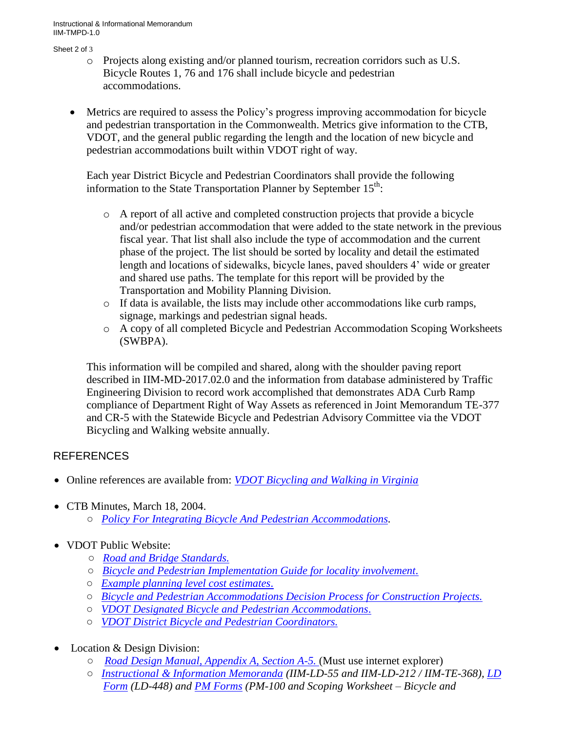Instructional & Informational Memorandum IIM-TMPD-1.0

#### Sheet 2 of 3

- o Projects along existing and/or planned tourism, recreation corridors such as U.S. Bicycle Routes 1, 76 and 176 shall include bicycle and pedestrian accommodations.
- Metrics are required to assess the Policy's progress improving accommodation for bicycle and pedestrian transportation in the Commonwealth. Metrics give information to the CTB, VDOT, and the general public regarding the length and the location of new bicycle and pedestrian accommodations built within VDOT right of way.

Each year District Bicycle and Pedestrian Coordinators shall provide the following information to the State Transportation Planner by September  $15<sup>th</sup>$ :

- o A report of all active and completed construction projects that provide a bicycle and/or pedestrian accommodation that were added to the state network in the previous fiscal year. That list shall also include the type of accommodation and the current phase of the project. The list should be sorted by locality and detail the estimated length and locations of sidewalks, bicycle lanes, paved shoulders 4' wide or greater and shared use paths. The template for this report will be provided by the Transportation and Mobility Planning Division.
- o If data is available, the lists may include other accommodations like curb ramps, signage, markings and pedestrian signal heads.
- o A copy of all completed Bicycle and Pedestrian Accommodation Scoping Worksheets (SWBPA).

This information will be compiled and shared, along with the shoulder paving report described in IIM-MD-2017.02.0 and the information from database administered by Traffic Engineering Division to record work accomplished that demonstrates ADA Curb Ramp compliance of Department Right of Way Assets as referenced in Joint Memorandum TE-377 and CR-5 with the Statewide Bicycle and Pedestrian Advisory Committee via the VDOT Bicycling and Walking website annually.

#### REFERENCES

- Online references are available from: *[VDOT Bicycling and Walking in Virginia](http://www.virginiadot.org/programs/bk-default.asp)*
- CTB Minutes, March 18, 2004.
	- *[Policy For Integrating Bicycle And Pedestrian Accommodations.](http://www.virginiadot.org/bikepedpolicy)*
- VDOT Public Website:
	- *[Road and Bridge Standards.](http://www.virginiadot.org/business/locdes/Standards_TOC.asp)*
	- *[Bicycle and Pedestrian Implementation Guide for locality involvement](http://www.virginiadot.org/programs/resources/Bicycle_and_Pedestrian_Implementation_Guide_for_Locality_Involvement.pdf)*.
	- *[Example planning level cost estimates](http://www.virginiadot.org/programs/resources/bic_planning_cost_estimates.pdf)*.
	- *[Bicycle and Pedestrian Accommodations Decision Process](http://www.virginiadot.org/programs/resources/BikePedDecisionProcessV5.pdf) for Construction Projects.*
	- *[VDOT Designated Bicycle and Pedestrian Accommodations](http://www.virginiadot.org/programs/resources/BPAccommodationsDefined.pdf)*.
	- *[VDOT District Bicycle and Pedestrian Coordinators.](http://www.virginiadot.org/programs/resources/VDOT_District_Bicycle_and_Pedestrian_Coordinators.pdf)*
- Location & Design Division:
	- *[Road Design Manual, Appendix A, Section A-5.](http://www.virginiadot.org/business/locdes/rdmanual-index.asp)* (Must use internet explorer)
	- *[Instructional & Information Memoranda](http://www.virginiadot.org/business/locdes/rd-ii-memoranda-index.asp) (IIM-LD-55 and IIM-LD-212 / IIM-TE-368), [LD](http://vdotforms.vdot.virginia.gov/)  [Form](http://vdotforms.vdot.virginia.gov/) (LD-448) and [PM Forms](http://vdotforms.vdot.virginia.gov/) (PM-100 and Scoping Worksheet – Bicycle and*